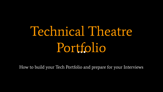# Technical Theatre Portfolio

How to build your Tech Portfolio and prepare for your Interviews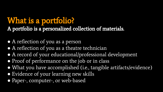# What is a portfolio?

A portfolio is a personalized collection of materials.

- A reflection of you as a person
- A reflection of you as a theatre technician
- A record of your educational/professional development
- Proof of performance on the job or in class
- What you have accomplished (i.e., tangible artifacts/evidence)
- Evidence of your learning new skills
- Paper-, computer-, or web-based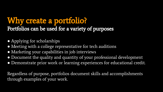# Why create a portfolio?

Portfolios can be used for a variety of purposes

- Applying for scholarships
- Meeting with a college representative for tech auditions
- Marketing your capabilities in job interviews
- Document the quality and quantity of your professional development
- Demonstrate prior work or learning experiences for educational credit.

Regardless of purpose, portfolios document skills and accomplishments through examples of your work.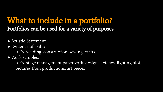### What to include in a portfolio? Portfolios can be used for a variety of purposes

- Artistic Statement
- Evidence of skills:
	- $\circ$  Ex. welding, construction, sewing, crafts,
- Work samples:

○ Ex. stage management paperwork, design sketches, lighting plot, pictures from productions, art pieces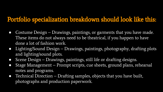### Portfolio specialization breakdown should look like this:

- Costume Design Drawings, paintings, or garments that you have made. These items do not always need to be theatrical, if you happen to have done a lot of fashion work.
- Lighting/Sound Design Drawings, paintings, photography, drafting plots and lighting/sound plots.
- Scene Design Drawings, paintings, still life or drafting designs.
- Stage Management Prompt scripts, cue sheets, ground plans, rehearsal notes and programs.
- Technical Direction  $-$  Drafting samples, objects that you have built, photographs and production paperwork.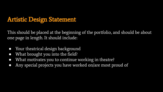#### Artistic Design Statement

This should be placed at the beginning of the portfolio, and should be about one page in length. It should include:

- Your theatrical design background
- What brought you into the field?
- What motivates you to continue working in theatre?
- Any special projects you have worked on/are most proud of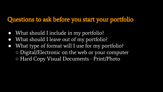#### Questions to ask before you start your portfolio

- What should I include in my portfolio?
- What should I leave out of my portfolio?
- What type of format will I use for my portfolio? ○ Digital/Electronic on the web or your computer ○ Hard Copy Visual Documents - Print/Photo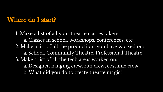#### Where do I start?

1. Make a list of all your theatre classes taken: a. Classes in school, workshops, conferences, etc. 2. Make a list of all the productions you have worked on: a. School, Community Theatre, Professional Theatre 3. Make a list of all the tech areas worked on: a. Designer, hanging crew, run crew, costume crew b. What did you do to create theatre magic?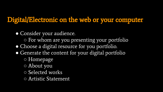## Digital/Electronic on the web or your computer

- Consider your audience.
	- For whom are you presenting your portfolio
- Choose a digital resource for you portfolio.
- Generate the content for your digital portfolio
	- Homepage
	- About you
	- Selected works
	- Artistic Statement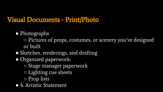#### Visual Documents - Print/Photo

- Photographs
	- Pictures of props, costumes, or scenery you've designed or built
- Sketches, renderings, and drafting
- Organized paperwork:
	- Stage manager paperwork
	- Lighting cue sheets
	- Prop lists
- 4. Artistic Statement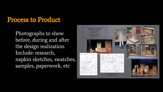#### Process to Product

Photographs to show before, during and after the design realization. Include: research, napkin sketches, swatches, samples, paperwork, etc

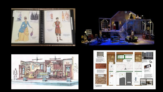